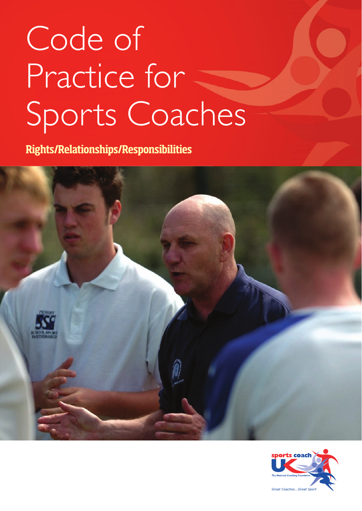# Code of Practice for Sports Coaches

**Rights/Relationships/Responsibilities**



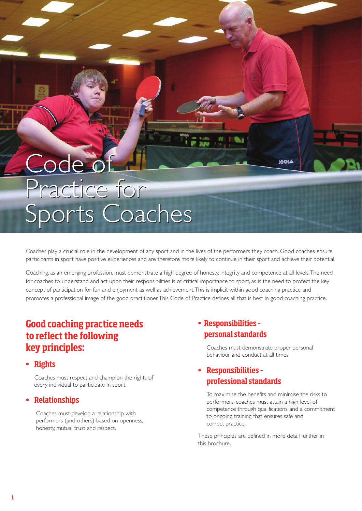# Code of Code of Practice for Practice for Sports Coaches Sports Coaches

Coaches play a crucial role in the development of any sport and in the lives of the performers they coach. Good coaches ensure participants in sport have positive experiences and are therefore more likely to continue in their sport and achieve their potential.

Coaching, as an emerging profession, must demonstrate a high degree of honesty, integrity and competence at all levels. The need for coaches to understand and act upon their responsibilities is of critical importance to sport, as is the need to protect the key concept of participation for fun and enjoyment as well as achievement. This is implicit within good coaching practice and promotes a professional image of the good practitioner. This Code of Practice defines all that is best in good coaching practice.

#### **Good coaching practice needs to reflect the following key principles:**

**• Rights**

Coaches must respect and champion the rights of every individual to participate in sport.

#### **• Relationships**

Coaches must develop a relationship with performers (and others) based on openness, honesty, mutual trust and respect.

#### **• Responsibilities – personal standards**

Coaches must demonstrate proper personal behaviour and conduct at all times.

**100LA** 

#### **• Responsibilities – professional standards**

To maximise the benefits and minimise the risks to performers, coaches must attain a high level of competence through qualifications, and a commitment to ongoing training that ensures safe and correct practice.

These principles are defined in more detail further in this brochure.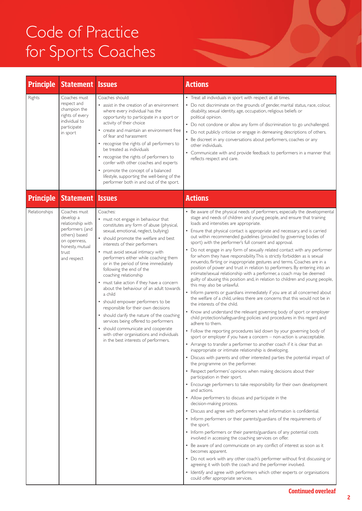## Code of Practice for Sports Coaches

| <b>Principle</b> | Statement                                                                                                                                     | <b>Issues</b>                                                                                                                                                                                                                                                                                                                                                                                                                                                                                                                                                                                                                                                                                                                                                                             | <b>Actions</b>                                                                                                                                                                                                                                                                                                                                                                                                                                                                                                                                                                                                                                                                                                                                                                                                                                                                                                                                                                                                                                                                                                                                                                                                                                                                                                                                                                                                                                                                                                                                                                                                                                                                                                                                                                                                                                                                                                                                                                                                                                                                                                                                                                                                                                                                                                                                                                                                                                                                                                                                                                                                                                                     |
|------------------|-----------------------------------------------------------------------------------------------------------------------------------------------|-------------------------------------------------------------------------------------------------------------------------------------------------------------------------------------------------------------------------------------------------------------------------------------------------------------------------------------------------------------------------------------------------------------------------------------------------------------------------------------------------------------------------------------------------------------------------------------------------------------------------------------------------------------------------------------------------------------------------------------------------------------------------------------------|--------------------------------------------------------------------------------------------------------------------------------------------------------------------------------------------------------------------------------------------------------------------------------------------------------------------------------------------------------------------------------------------------------------------------------------------------------------------------------------------------------------------------------------------------------------------------------------------------------------------------------------------------------------------------------------------------------------------------------------------------------------------------------------------------------------------------------------------------------------------------------------------------------------------------------------------------------------------------------------------------------------------------------------------------------------------------------------------------------------------------------------------------------------------------------------------------------------------------------------------------------------------------------------------------------------------------------------------------------------------------------------------------------------------------------------------------------------------------------------------------------------------------------------------------------------------------------------------------------------------------------------------------------------------------------------------------------------------------------------------------------------------------------------------------------------------------------------------------------------------------------------------------------------------------------------------------------------------------------------------------------------------------------------------------------------------------------------------------------------------------------------------------------------------------------------------------------------------------------------------------------------------------------------------------------------------------------------------------------------------------------------------------------------------------------------------------------------------------------------------------------------------------------------------------------------------------------------------------------------------------------------------------------------------|
| Rights           | Coaches must<br>respect and<br>champion the<br>rights of every<br>individual to<br>participate<br>in sport                                    | Coaches should:<br>• assist in the creation of an environment<br>where every individual has the<br>opportunity to participate in a sport or<br>activity of their choice<br>• create and maintain an environment free<br>of fear and harassment<br>• recognise the rights of all performers to<br>be treated as individuals<br>• recognise the rights of performers to<br>confer with other coaches and experts<br>• promote the concept of a balanced<br>lifestyle, supporting the well-being of the<br>performer both in and out of the sport.                                                                                                                                                                                                                                           | • Treat all individuals in sport with respect at all times.<br>• Do not discriminate on the grounds of gender, marital status, race, colour,<br>disability, sexual identity, age, occupation, religious beliefs or<br>political opinion.<br>• Do not condone or allow any form of discrimination to go unchallenged.<br>• Do not publicly criticise or engage in demeaning descriptions of others.<br>• Be discreet in any conversations about performers, coaches or any<br>other individuals.<br>• Communicate with and provide feedback to performers in a manner that<br>reflects respect and care.                                                                                                                                                                                                                                                                                                                                                                                                                                                                                                                                                                                                                                                                                                                                                                                                                                                                                                                                                                                                                                                                                                                                                                                                                                                                                                                                                                                                                                                                                                                                                                                                                                                                                                                                                                                                                                                                                                                                                                                                                                                            |
| <b>Principle</b> | <b>Statement Issues</b>                                                                                                                       |                                                                                                                                                                                                                                                                                                                                                                                                                                                                                                                                                                                                                                                                                                                                                                                           | <b>Actions</b>                                                                                                                                                                                                                                                                                                                                                                                                                                                                                                                                                                                                                                                                                                                                                                                                                                                                                                                                                                                                                                                                                                                                                                                                                                                                                                                                                                                                                                                                                                                                                                                                                                                                                                                                                                                                                                                                                                                                                                                                                                                                                                                                                                                                                                                                                                                                                                                                                                                                                                                                                                                                                                                     |
| Relationships    | Coaches must<br>develop a<br>relationship with<br>performers (and<br>others) based<br>on openness,<br>honesty, mutual<br>trust<br>and respect | Coaches:<br>• must not engage in behaviour that<br>constitutes any form of abuse (physical,<br>sexual, emotional, neglect, bullying)<br>• should promote the welfare and best<br>interests of their performers<br>• must avoid sexual intimacy with<br>performers either while coaching them<br>or in the period of time immediately<br>following the end of the<br>coaching relationship<br>• must take action if they have a concern<br>about the behaviour of an adult towards<br>a child<br>• should empower performers to be<br>responsible for their own decisions<br>• should clarify the nature of the coaching<br>services being offered to performers<br>• should communicate and cooperate<br>with other organisations and individuals<br>in the best interests of performers. | • Be aware of the physical needs of performers, especially the developmental<br>stage and needs of children and young people, and ensure that training<br>loads and intensities are appropriate.<br>• Ensure that physical contact is appropriate and necessary, and is carried<br>out within recommended guidelines (provided by governing bodies of<br>sport) with the performer's full consent and approval.<br>• Do not engage in any form of sexually related contact with any performer<br>for whom they have responsibility. This is strictly forbidden as is sexual<br>innuendo, flirting or inappropriate gestures and terms. Coaches are in a<br>position of power and trust in relation to performers. By entering into an<br>intimate/sexual relationship with a performer, a coach may be deemed<br>guilty of abusing this position and, in relation to children and young people,<br>this may also be unlawful.<br>• Inform parents or guardians immediately if you are at all concerned about<br>the welfare of a child, unless there are concerns that this would not be in<br>the interests of the child.<br>• Know and understand the relevant governing body of sport or employer<br>child protection/safeguarding policies and procedures in this regard and<br>adhere to them.<br>• Follow the reporting procedures laid down by your governing body of<br>sport or employer if you have a concern - non-action is unacceptable.<br>• Arrange to transfer a performer to another coach if it is clear that an<br>inappropriate or intimate relationship is developing.<br>• Discuss with parents and other interested parties the potential impact of<br>the programme on the performer.<br>• Respect performers' opinions when making decisions about their<br>participation in their sport.<br>• Encourage performers to take responsibility for their own development<br>and actions.<br>• Allow performers to discuss and participate in the<br>decision-making process.<br>• Discuss and agree with performers what information is confidential.<br>• Inform performers or their parents/guardians of the requirements of<br>the sport.<br>• Inform performers or their parents/guardians of any potential costs<br>involved in accessing the coaching services on offer.<br>• Be aware of and communicate on any conflict of interest as soon as it<br>becomes apparent.<br>• Do not work with any other coach's performer without first discussing or<br>agreeing it with both the coach and the performer involved.<br>• Identify and agree with performers which other experts or organisations<br>could offer appropriate services. |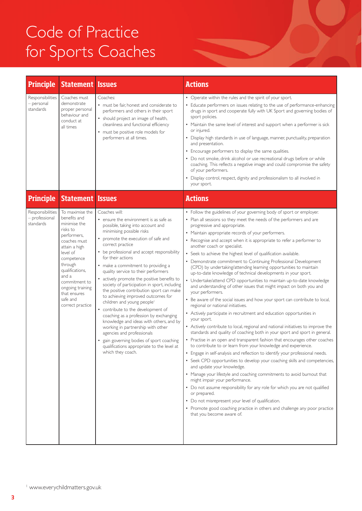## Code of Practice for Sports Coaches

| <b>Principle</b>                                | <b>Statement Issues</b>                                                                                                                                                                                                                                                                      |                                                                                                                                                                                                                                                                                                                                                                                                                                                                                                                                                                                                                                                                                                                                                                                                                                                                              | <b>Actions</b>                                                                                                                                                                                                                                                                                                                                                                                                                                                                                                                                                                                                                                                                                                                                                                                                                                                                                                                                                                                                                                                                                                                                                                                                                                                                                                                                                                                                                                                                                                                                                                                                                                                                                                                                                                                                                                                                                  |
|-------------------------------------------------|----------------------------------------------------------------------------------------------------------------------------------------------------------------------------------------------------------------------------------------------------------------------------------------------|------------------------------------------------------------------------------------------------------------------------------------------------------------------------------------------------------------------------------------------------------------------------------------------------------------------------------------------------------------------------------------------------------------------------------------------------------------------------------------------------------------------------------------------------------------------------------------------------------------------------------------------------------------------------------------------------------------------------------------------------------------------------------------------------------------------------------------------------------------------------------|-------------------------------------------------------------------------------------------------------------------------------------------------------------------------------------------------------------------------------------------------------------------------------------------------------------------------------------------------------------------------------------------------------------------------------------------------------------------------------------------------------------------------------------------------------------------------------------------------------------------------------------------------------------------------------------------------------------------------------------------------------------------------------------------------------------------------------------------------------------------------------------------------------------------------------------------------------------------------------------------------------------------------------------------------------------------------------------------------------------------------------------------------------------------------------------------------------------------------------------------------------------------------------------------------------------------------------------------------------------------------------------------------------------------------------------------------------------------------------------------------------------------------------------------------------------------------------------------------------------------------------------------------------------------------------------------------------------------------------------------------------------------------------------------------------------------------------------------------------------------------------------------------|
| Responsibilities<br>- personal<br>standards     | Coaches must<br>demonstrate<br>proper personal<br>behaviour and<br>conduct at<br>all times                                                                                                                                                                                                   | Coaches:<br>• must be fair, honest and considerate to<br>performers and others in their sport<br>• should project an image of health,<br>cleanliness and functional efficiency<br>• must be positive role models for<br>performers at all times.                                                                                                                                                                                                                                                                                                                                                                                                                                                                                                                                                                                                                             | • Operate within the rules and the spirit of your sport.<br>• Educate performers on issues relating to the use of performance-enhancing<br>drugs in sport and cooperate fully with UK Sport and governing bodies of<br>sport policies.<br>• Maintain the same level of interest and support when a performer is sick<br>or injured.<br>• Display high standards in use of language, manner, punctuality, preparation<br>and presentation.<br>• Encourage performers to display the same qualities.<br>• Do not smoke, drink alcohol or use recreational drugs before or while<br>coaching. This reflects a negative image and could compromise the safety<br>of your performers.<br>• Display control, respect, dignity and professionalism to all involved in<br>your sport.                                                                                                                                                                                                                                                                                                                                                                                                                                                                                                                                                                                                                                                                                                                                                                                                                                                                                                                                                                                                                                                                                                                   |
| <b>Principle</b>                                |                                                                                                                                                                                                                                                                                              |                                                                                                                                                                                                                                                                                                                                                                                                                                                                                                                                                                                                                                                                                                                                                                                                                                                                              | <b>Actions</b>                                                                                                                                                                                                                                                                                                                                                                                                                                                                                                                                                                                                                                                                                                                                                                                                                                                                                                                                                                                                                                                                                                                                                                                                                                                                                                                                                                                                                                                                                                                                                                                                                                                                                                                                                                                                                                                                                  |
| Responsibilities<br>- professional<br>standards | <b>Statement Issues</b><br>To maximise the<br>benefits and<br>minimise the<br>risks to<br>performers,<br>coaches must<br>attain a high<br>level of<br>competence<br>through<br>qualifications,<br>and a<br>commitment to<br>ongoing training<br>that ensures<br>safe and<br>correct practice | Coaches will:<br>• ensure the environment is as safe as<br>possible, taking into account and<br>minimising possible risks<br>promote the execution of safe and<br>correct practice<br>• be professional and accept responsibility<br>for their actions<br>• make a commitment to providing a<br>quality service to their performers<br>• actively promote the positive benefits to<br>society of participation in sport, including<br>the positive contribution sport can make<br>to achieving improved outcomes for<br>children and young people <sup>1</sup><br>• contribute to the development of<br>coaching as a profession by exchanging<br>knowledge and ideas with others, and by<br>working in partnership with other<br>agencies and professionals<br>• gain governing bodies of sport coaching<br>qualitications appropriate to the level at<br>which they coach. | • Follow the guidelines of your governing body of sport or employer.<br>• Plan all sessions so they meet the needs of the performers and are<br>progressive and appropriate.<br>• Maintain appropriate records of your performers.<br>Recognise and accept when it is appropriate to refer a performer to<br>another coach or specialist.<br>• Seek to achieve the highest level of qualification available.<br>• Demonstrate commitment to Continuing Professional Development<br>(CPD) by undertaking/attending learning opportunities to maintain<br>up-to-date knowledge of technical developments in your sport.<br>• Undertake/attend CPD opportunities to maintain up-to-date knowledge<br>and understanding of other issues that might impact on both you and<br>your performers.<br>• Be aware of the social issues and how your sport can contribute to local,<br>regional or national initiatives.<br>• Actively participate in recruitment and education opportunities in<br>your sport.<br>• Actively contribute to local, regional and national initiatives to improve the<br>standards and quality of coaching both in your sport and sport in general.<br>• Practise in an open and transparent fashion that encourages other coaches<br>to contribute to or learn from your knowledge and experience.<br>• Engage in self-analysis and reflection to identify your professional needs.<br>• Seek CPD opportunities to develop your coaching skills and competencies,<br>and update your knowledge.<br>• Manage your lifestyle and coaching commitments to avoid burnout that<br>might impair your performance.<br>• Do not assume responsibility for any role for which you are not qualified<br>or prepared.<br>• Do not misrepresent your level of qualification.<br>• Promote good coaching practice in others and challenge any poor practice<br>that you become aware of. |